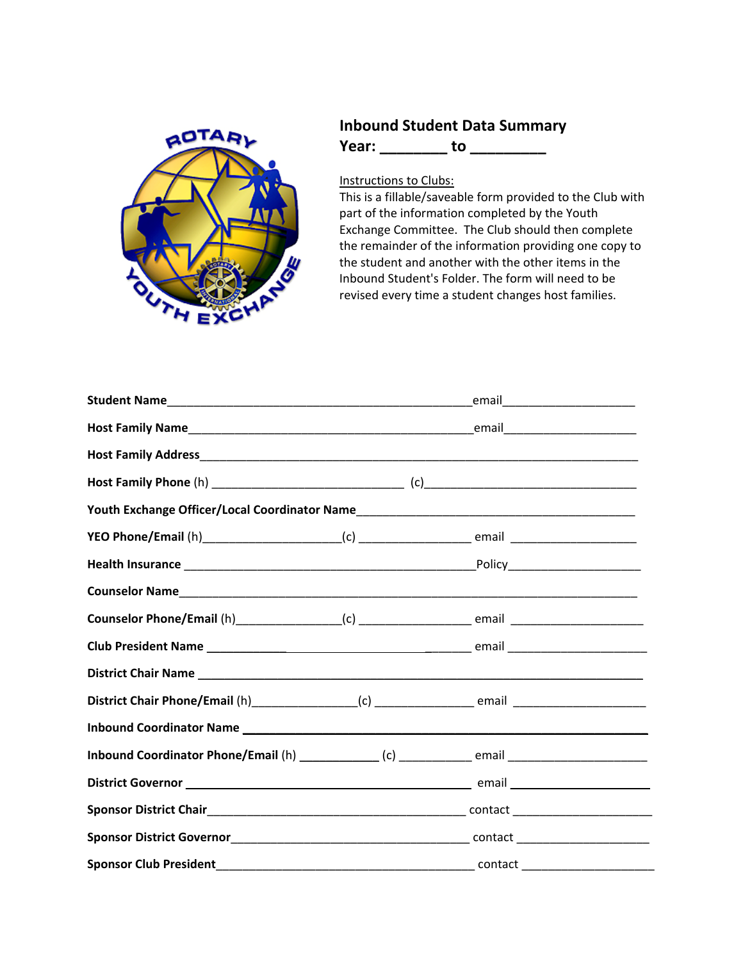

## **Inbound Student Data Summary Year: \_\_\_\_\_\_\_\_ to \_\_\_\_\_\_\_\_\_**

Instructions to Clubs:

This is a fillable/saveable form provided to the Club with part of the information completed by the Youth Exchange Committee. The Club should then complete the remainder of the information providing one copy to the student and another with the other items in the Inbound Student's Folder. The form will need to be revised every time a student changes host families.

|                                                                                                      |  | _email__________________________ |  |
|------------------------------------------------------------------------------------------------------|--|----------------------------------|--|
|                                                                                                      |  |                                  |  |
|                                                                                                      |  |                                  |  |
|                                                                                                      |  |                                  |  |
|                                                                                                      |  |                                  |  |
|                                                                                                      |  |                                  |  |
|                                                                                                      |  |                                  |  |
|                                                                                                      |  |                                  |  |
|                                                                                                      |  |                                  |  |
|                                                                                                      |  |                                  |  |
|                                                                                                      |  |                                  |  |
|                                                                                                      |  |                                  |  |
|                                                                                                      |  |                                  |  |
| Inbound Coordinator Phone/Email (h) ______________(c) _______________ email ________________________ |  |                                  |  |
|                                                                                                      |  |                                  |  |
|                                                                                                      |  |                                  |  |
|                                                                                                      |  |                                  |  |
| <b>Sponsor Club President</b>                                                                        |  |                                  |  |